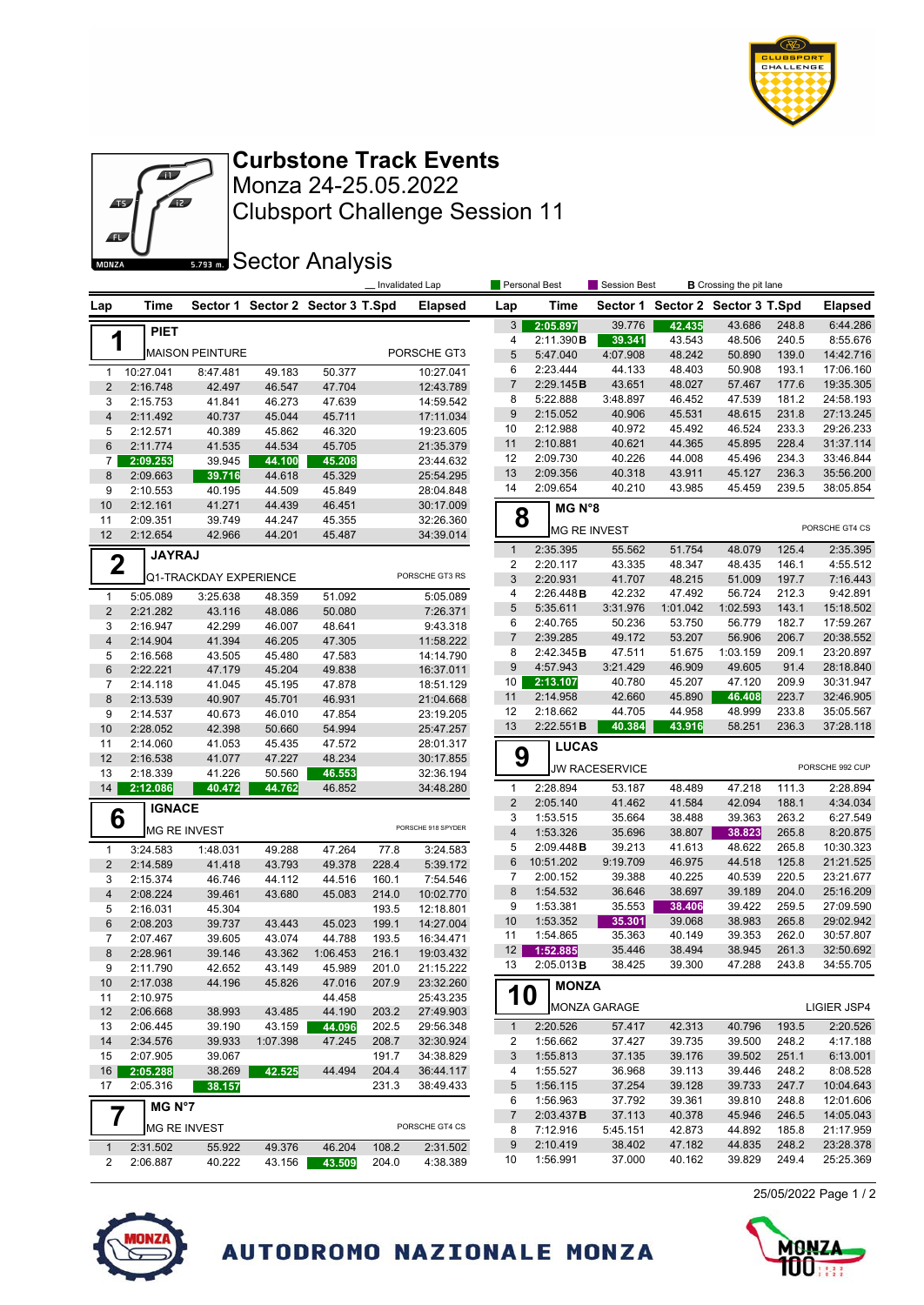



Clubsport Challenge Session 11 Monza 24-25.05.2022 **Curbstone Track Events**

**SECTOR Analysis** 

|                         |               |                        |          |                                  | Personal Best<br>Invalidated Lap |                    |                           |                     | <b>B</b> Crossing the pit lane<br>Session Best |                                  |                    |       |                 |  |
|-------------------------|---------------|------------------------|----------|----------------------------------|----------------------------------|--------------------|---------------------------|---------------------|------------------------------------------------|----------------------------------|--------------------|-------|-----------------|--|
| Lap                     | Time          |                        |          | Sector 1 Sector 2 Sector 3 T.Spd |                                  | <b>Elapsed</b>     | Lap                       | Time                |                                                | Sector 1 Sector 2 Sector 3 T.Spd |                    |       | <b>Elapsed</b>  |  |
|                         | <b>PIET</b>   |                        |          |                                  |                                  |                    | 3                         | 2:05.897            | 39.776                                         | 42.435                           | 43.686             | 248.8 | 6:44.286        |  |
| 1                       |               |                        |          |                                  |                                  |                    | 4                         | 2:11.390B           | 39.341                                         | 43.543                           | 48.506             | 240.5 | 8:55.676        |  |
|                         |               | <b>MAISON PEINTURE</b> |          |                                  |                                  | PORSCHE GT3        | 5                         | 5:47.040            | 4:07.908                                       | 48.242                           | 50.890             | 139.0 | 14:42.716       |  |
| $\mathbf{1}$            | 10:27.041     | 8:47.481               | 49.183   | 50.377                           |                                  | 10:27.041          | 6                         | 2:23.444            | 44.133                                         | 48.403                           | 50.908             | 193.1 | 17:06.160       |  |
| $\sqrt{2}$              | 2:16.748      | 42.497                 | 46.547   | 47.704                           |                                  | 12:43.789          | $\overline{7}$            | 2:29.145B           | 43.651                                         | 48.027                           | 57.467             | 177.6 | 19:35.305       |  |
| 3                       | 2:15.753      | 41.841                 | 46.273   | 47.639                           |                                  | 14:59.542          | 8                         | 5:22.888            | 3:48.897                                       | 46.452                           | 47.539             | 181.2 | 24:58.193       |  |
| $\overline{4}$          | 2:11.492      | 40.737                 | 45.044   | 45.711                           |                                  | 17:11.034          | 9                         | 2:15.052            | 40.906                                         | 45.531                           | 48.615             | 231.8 | 27:13.245       |  |
| 5                       | 2:12.571      | 40.389                 | 45.862   | 46.320                           |                                  | 19:23.605          | 10                        | 2:12.988            | 40.972                                         | 45.492                           | 46.524             | 233.3 | 29:26.233       |  |
| $6\,$                   | 2:11.774      | 41.535                 | 44.534   | 45.705                           |                                  | 21:35.379          | 11                        | 2:10.881            | 40.621                                         | 44.365                           | 45.895             | 228.4 | 31:37.114       |  |
| $\overline{7}$          | 2:09.253      | 39.945                 | 44.100   | 45.208                           |                                  | 23:44.632          | 12                        | 2:09.730            | 40.226                                         | 44.008                           | 45.496             | 234.3 | 33:46.844       |  |
| 8                       | 2:09.663      | 39.716                 | 44.618   | 45.329                           |                                  | 25:54.295          | 13<br>14                  | 2:09.356            | 40.318                                         | 43.911                           | 45.127             | 236.3 | 35:56.200       |  |
| 9                       | 2:10.553      | 40.195                 | 44.509   | 45.849                           |                                  | 28:04.848          |                           | 2:09.654            | 40.210                                         | 43.985                           | 45.459             | 239.5 | 38:05.854       |  |
| 10                      | 2:12.161      | 41.271                 | 44.439   | 46.451                           |                                  | 30:17.009          | 8                         | MG N°8              |                                                |                                  |                    |       |                 |  |
| 11                      | 2:09.351      | 39.749                 | 44.247   | 45.355                           |                                  | 32:26.360          |                           | <b>MG RE INVEST</b> |                                                |                                  |                    |       | PORSCHE GT4 CS  |  |
| 12                      | 2:12.654      | 42.966                 | 44.201   | 45.487                           |                                  | 34:39.014          |                           |                     |                                                |                                  |                    |       |                 |  |
|                         | <b>JAYRAJ</b> |                        |          |                                  |                                  |                    | $\mathbf{1}$              | 2:35.395            | 55.562                                         | 51.754                           | 48.079             | 125.4 | 2:35.395        |  |
| $\mathbf 2$             |               | Q1-TRACKDAY EXPERIENCE |          |                                  |                                  | PORSCHE GT3 RS     | 2                         | 2:20.117            | 43.335                                         | 48.347                           | 48.435             | 146.1 | 4:55.512        |  |
|                         |               |                        |          |                                  |                                  |                    | 3                         | 2:20.931            | 41.707                                         | 48.215                           | 51.009             | 197.7 | 7:16.443        |  |
| $\mathbf{1}$            | 5:05.089      | 3:25.638               | 48.359   | 51.092                           |                                  | 5:05.089           | 4                         | 2:26.448B           | 42.232<br>3:31.976                             | 47.492                           | 56.724             | 212.3 | 9:42.891        |  |
| $\overline{2}$          | 2:21.282      | 43.116                 | 48.086   | 50.080                           |                                  | 7:26.371           | 5                         | 5:35.611            |                                                | 1:01.042                         | 1:02.593<br>56.779 | 143.1 | 15:18.502       |  |
| 3                       | 2:16.947      | 42.299                 | 46.007   | 48.641                           |                                  | 9:43.318           | 6                         | 2:40.765            | 50.236                                         | 53.750                           |                    | 182.7 | 17:59.267       |  |
| $\overline{\mathbf{4}}$ | 2:14.904      | 41.394                 | 46.205   | 47.305                           |                                  | 11:58.222          | $\overline{7}$            | 2:39.285            | 49.172                                         | 53.207                           | 56.906             | 206.7 | 20:38.552       |  |
| 5                       | 2:16.568      | 43.505                 | 45.480   | 47.583                           |                                  | 14:14.790          | 8                         | 2:42.345B           | 47.511                                         | 51.675                           | 1:03.159           | 209.1 | 23:20.897       |  |
| $6\,$                   | 2:22.221      | 47.179                 | 45.204   | 49.838                           |                                  | 16:37.011          | 9                         | 4:57.943            | 3:21.429                                       | 46.909                           | 49.605             | 91.4  | 28:18.840       |  |
| $\overline{7}$          | 2:14.118      | 41.045                 | 45.195   | 47.878                           |                                  | 18:51.129          | 10 <sup>1</sup>           | 2:13.107            | 40.780                                         | 45.207                           | 47.120             | 209.9 | 30:31.947       |  |
| 8                       | 2:13.539      | 40.907                 | 45.701   | 46.931                           |                                  | 21:04.668          | 11                        | 2:14.958            | 42.660                                         | 45.890                           | 46.408             | 223.7 | 32:46.905       |  |
| 9                       | 2:14.537      | 40.673                 | 46.010   | 47.854                           |                                  | 23:19.205          | 12                        | 2:18.662            | 44.705                                         | 44.958                           | 48.999             | 233.8 | 35:05.567       |  |
| 10                      | 2:28.052      | 42.398                 | 50.660   | 54.994                           |                                  | 25:47.257          | 13                        | 2:22.551B           | 40.384                                         | 43.916                           | 58.251             | 236.3 | 37:28.118       |  |
| 11                      | 2:14.060      | 41.053                 | 45.435   | 47.572                           |                                  | 28:01.317          |                           | <b>LUCAS</b>        |                                                |                                  |                    |       |                 |  |
| 12                      | 2:16.538      | 41.077                 | 47.227   | 48.234                           |                                  | 30:17.855          | 9                         |                     | <b>JW RACESERVICE</b>                          |                                  |                    |       | PORSCHE 992 CUP |  |
| 13                      | 2:18.339      | 41.226                 | 50.560   | 46.553                           |                                  | 32:36.194          |                           |                     |                                                |                                  |                    |       |                 |  |
| 14                      | 2:12.086      | 40.472                 | 44.762   | 46.852                           |                                  | 34:48.280          | 1                         | 2:28.894            | 53.187                                         | 48.489                           | 47.218             | 111.3 | 2:28.894        |  |
|                         | <b>IGNACE</b> |                        |          |                                  |                                  |                    | $\mathbf 2$               | 2:05.140            | 41.462                                         | 41.584                           | 42.094             | 188.1 | 4:34.034        |  |
| 6                       |               |                        |          |                                  |                                  | PORSCHE 918 SPYDER | 3                         | 1:53.515            | 35.664                                         | 38.488                           | 39.363             | 263.2 | 6:27.549        |  |
|                         |               | <b>MG RE INVEST</b>    |          |                                  |                                  |                    | $\overline{\mathbf{4}}$   | 1:53.326            | 35.696                                         | 38.807                           | 38.823             | 265.8 | 8:20.875        |  |
| $\mathbf{1}$            | 3:24.583      | 1:48.031               | 49.288   | 47.264                           | 77.8                             | 3:24.583           | 5                         | 2:09.448B           | 39.213                                         | 41.613                           | 48.622             | 265.8 | 10:30.323       |  |
| $\sqrt{2}$              | 2:14.589      | 41.418                 | 43.793   | 49.378                           | 228.4                            | 5:39.172           | 6                         | 10:51.202           | 9:19.709                                       | 46.975                           | 44.518             | 125.8 | 21:21.525       |  |
| 3                       | 2:15.374      | 46.746                 | 44.112   | 44.516                           | 160.1                            | 7:54.546           | $\overline{\mathfrak{c}}$ | 2:00.152            | 39.388                                         | 40.225                           | 40.539             | 220.5 | 23:21.677       |  |
| $\overline{\mathbf{4}}$ | 2:08.224      | 39.461                 | 43.680   | 45.083                           | 214.0                            | 10:02.770          | 8                         | 1:54.532            | 36.646                                         | 38.697                           | 39.189             | 204.0 | 25:16.209       |  |
| 5                       | 2:16.031      | 45.304                 |          |                                  | 193.5                            | 12:18.801          | 9                         | 1:53.381            | 35.553                                         | 38.406                           | 39.422             | 259.5 | 27:09.590       |  |
| $6\phantom{1}$          | 2:08.203      | 39.737                 | 43.443   | 45.023                           | 199.1                            | 14:27.004          | 10                        | 1:53.352            | 35.301                                         | 39.068                           | 38.983             | 265.8 | 29:02.942       |  |
| 7                       | 2:07.467      | 39.605                 | 43.074   | 44.788                           | 193.5                            | 16:34.471          | 11                        | 1:54.865            | 35.363                                         | 40.149                           | 39.353             | 262.0 | 30:57.807       |  |
| 8                       | 2:28.961      | 39.146                 | 43.362   | 1:06.453                         | 216.1                            | 19:03.432          | 12                        | 1:52.885            | 35.446                                         | 38.494                           | 38.945             | 261.3 | 32:50.692       |  |
| 9                       | 2:11.790      | 42.652                 | 43.149   | 45.989                           | 201.0                            | 21:15.222          | 13                        | 2:05.013B           | 38.425                                         | 39.300                           | 47.288             | 243.8 | 34:55.705       |  |
| 10                      | 2:17.038      | 44.196                 | 45.826   | 47.016                           | 207.9                            | 23:32.260          |                           | <b>MONZA</b>        |                                                |                                  |                    |       |                 |  |
| 11                      | 2:10.975      |                        |          | 44.458                           |                                  | 25:43.235          | 10                        |                     |                                                |                                  |                    |       |                 |  |
| 12                      | 2:06.668      | 38.993                 | 43.485   | 44.190                           | 203.2                            | 27:49.903          |                           |                     | <b>MONZA GARAGE</b>                            |                                  |                    |       | LIGIER JSP4     |  |
| 13                      | 2:06.445      | 39.190                 | 43.159   | 44.096                           | 202.5                            | 29:56.348          | $\mathbf{1}$              | 2:20.526            | 57.417                                         | 42.313                           | 40.796             | 193.5 | 2:20.526        |  |
| 14                      | 2:34.576      | 39.933                 | 1:07.398 | 47.245                           | 208.7                            | 32:30.924          | 2                         | 1:56.662            | 37.427                                         | 39.735                           | 39.500             | 248.2 | 4:17.188        |  |
| 15                      | 2:07.905      | 39.067                 |          |                                  | 191.7                            | 34:38.829          | 3                         | 1:55.813            | 37.135                                         | 39.176                           | 39.502             | 251.1 | 6:13.001        |  |
| 16                      | 2:05.288      | 38.269                 | 42.525   | 44.494                           | 204.4                            | 36:44.117          | 4                         | 1:55.527            | 36.968                                         | 39.113                           | 39.446             | 248.2 | 8:08.528        |  |
| 17                      | 2:05.316      | 38.157                 |          |                                  | 231.3                            | 38:49.433          | 5                         | 1:56.115            | 37.254                                         | 39.128                           | 39.733             | 247.7 | 10:04.643       |  |
|                         | MG N°7        |                        |          |                                  |                                  |                    | 6                         | 1:56.963            | 37.792                                         | 39.361                           | 39.810             | 248.8 | 12:01.606       |  |
| 7                       |               |                        |          |                                  |                                  |                    | 7                         | 2:03.437 <b>B</b>   | 37.113                                         | 40.378                           | 45.946             | 246.5 | 14:05.043       |  |
|                         |               | MG RE INVEST           |          |                                  |                                  | PORSCHE GT4 CS     | 8                         | 7:12.916            | 5:45.151                                       | 42.873                           | 44.892             | 185.8 | 21:17.959       |  |
| $\mathbf{1}$            | 2:31.502      | 55.922                 | 49.376   | 46.204                           | 108.2                            | 2:31.502           | 9                         | 2:10.419            | 38.402                                         | 47.182                           | 44.835             | 248.2 | 23:28.378       |  |
| 2                       | 2:06.887      | 40.222                 | 43.156   | 43.509                           | 204.0                            | 4:38.389           | 10                        | 1:56.991            | 37.000                                         | 40.162                           | 39.829             | 249.4 | 25:25.369       |  |
|                         |               |                        |          |                                  |                                  |                    |                           |                     |                                                |                                  |                    |       |                 |  |

AUTODROMO NAZIONALE MONZA



25/05/2022 Page 1 / 2